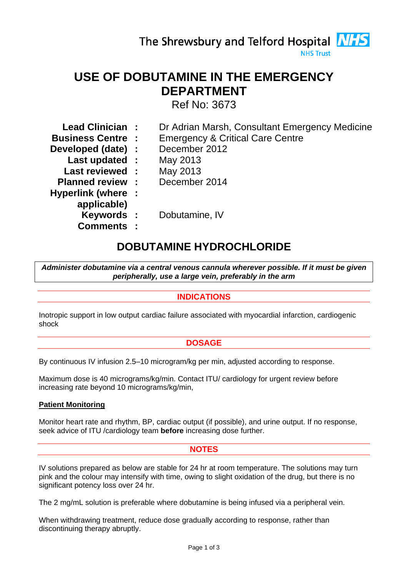The Shrewsbury and Telford Hospital **NHS NHS Trust** 

# **USE OF DOBUTAMINE IN THE EMERGENCY DEPARTMENT**

Ref No: 3673

- **Lead Clinician :** Dr Adrian Marsh, Consultant Emergency Medicine
- **Business Centre :** Emergency & Critical Care Centre
- **Developed (date) :** December 2012
	- **Last updated :** May 2013
	- **Last reviewed :** May 2013
- **Planned review :** December 2014
- **Hyperlink (where :** 
	- **applicable)** 
		-
		- **Comments :**
- 
- **Keywords :** Dobutamine, IV

# **DOBUTAMINE HYDROCHLORIDE**

*Administer dobutamine via a central venous cannula wherever possible. If it must be given peripherally, use a large vein, preferably in the arm* 

## **INDICATIONS**

Inotropic support in low output cardiac failure associated with myocardial infarction, cardiogenic shock

## **DOSAGE**

By continuous IV infusion 2.5–10 microgram/kg per min, adjusted according to response.

Maximum dose is 40 micrograms/kg/min. Contact ITU/ cardiology for urgent review before increasing rate beyond 10 micrograms/kg/min,

## **Patient Monitoring**

Monitor heart rate and rhythm, BP, cardiac output (if possible), and urine output. If no response, seek advice of ITU /cardiology team **before** increasing dose further.

## **NOTES**

IV solutions prepared as below are stable for 24 hr at room temperature. The solutions may turn pink and the colour may intensify with time, owing to slight oxidation of the drug, but there is no significant potency loss over 24 hr.

The 2 mg/mL solution is preferable where dobutamine is being infused via a peripheral vein.

When withdrawing treatment, reduce dose gradually according to response, rather than discontinuing therapy abruptly.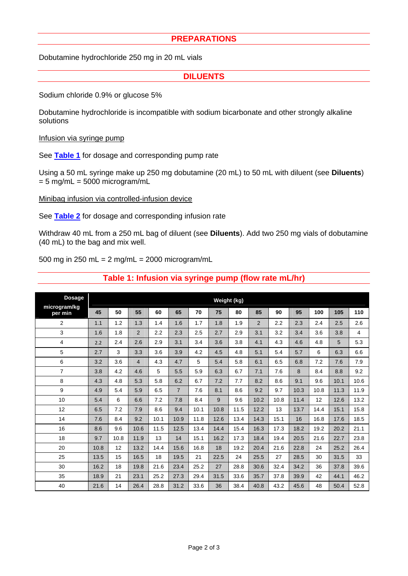#### **PREPARATIONS**

Dobutamine hydrochloride 250 mg in 20 mL vials

#### **DILUENTS**

Sodium chloride 0.9% or glucose 5%

Dobutamine hydrochloride is incompatible with sodium bicarbonate and other strongly alkaline solutions

#### Infusion via syringe pump

See **[Table 1](#page-1-0)** for dosage and corresponding pump rate

Using a 50 mL syringe make up 250 mg dobutamine (20 mL) to 50 mL with diluent (see **Diluents**)  $= 5$  mg/mL  $= 5000$  microgram/mL

Minibag infusion via controlled-infusion device

See **[Table 2](#page-2-0)** for dosage and corresponding infusion rate

Withdraw 40 mL from a 250 mL bag of diluent (see **Diluents**). Add two 250 mg vials of dobutamine (40 mL) to the bag and mix well.

500 mg in 250 mL = 2 mg/mL = 2000 microgram/mL

<span id="page-1-0"></span>

| <b>Dosage</b><br>microgram/kg | Weight (kg) |      |                |      |                |      |      |      |                |      |      |      |      |      |
|-------------------------------|-------------|------|----------------|------|----------------|------|------|------|----------------|------|------|------|------|------|
| per min                       | 45          | 50   | 55             | 60   | 65             | 70   | 75   | 80   | 85             | 90   | 95   | 100  | 105  | 110  |
| $\overline{2}$                | 1.1         | 1.2  | 1.3            | 1.4  | 1.6            | 1.7  | 1.8  | 1.9  | $\overline{2}$ | 2.2  | 2.3  | 2.4  | 2.5  | 2.6  |
| 3                             | 1.6         | 1.8  | $\overline{2}$ | 2.2  | 2.3            | 2.5  | 2.7  | 2.9  | 3.1            | 3.2  | 3.4  | 3.6  | 3.8  | 4    |
| 4                             | 2.2         | 2.4  | 2.6            | 2.9  | 3.1            | 3.4  | 3.6  | 3.8  | 4.1            | 4.3  | 4.6  | 4.8  | 5    | 5.3  |
| 5                             | 2.7         | 3    | 3.3            | 3.6  | 3.9            | 4.2  | 4.5  | 4.8  | 5.1            | 5.4  | 5.7  | 6    | 6.3  | 6.6  |
| 6                             | 3.2         | 3.6  | $\overline{4}$ | 4.3  | 4.7            | 5    | 5.4  | 5.8  | 6.1            | 6.5  | 6.8  | 7.2  | 7.6  | 7.9  |
| $\overline{7}$                | 3.8         | 4.2  | 4.6            | 5    | 5.5            | 5.9  | 6.3  | 6.7  | 7.1            | 7.6  | 8    | 8.4  | 8.8  | 9.2  |
| 8                             | 4.3         | 4.8  | 5.3            | 5.8  | 6.2            | 6.7  | 7.2  | 7.7  | 8.2            | 8.6  | 9.1  | 9.6  | 10.1 | 10.6 |
| 9                             | 4.9         | 5.4  | 5.9            | 6.5  | $\overline{7}$ | 7.6  | 8.1  | 8.6  | 9.2            | 9.7  | 10.3 | 10.8 | 11.3 | 11.9 |
| 10                            | 5.4         | 6    | 6.6            | 7.2  | 7.8            | 8.4  | 9    | 9.6  | 10.2           | 10.8 | 11.4 | 12   | 12.6 | 13.2 |
| 12                            | 6.5         | 7.2  | 7.9            | 8.6  | 9.4            | 10.1 | 10.8 | 11.5 | 12.2           | 13   | 13.7 | 14.4 | 15.1 | 15.8 |
| 14                            | 7.6         | 8.4  | 9.2            | 10.1 | 10.9           | 11.8 | 12.6 | 13.4 | 14.3           | 15.1 | 16   | 16.8 | 17.6 | 18.5 |
| 16                            | 8.6         | 9.6  | 10.6           | 11.5 | 12.5           | 13.4 | 14.4 | 15.4 | 16.3           | 17.3 | 18.2 | 19.2 | 20.2 | 21.1 |
| 18                            | 9.7         | 10.8 | 11.9           | 13   | 14             | 15.1 | 16.2 | 17.3 | 18.4           | 19.4 | 20.5 | 21.6 | 22.7 | 23.8 |
| 20                            | 10.8        | 12   | 13.2           | 14.4 | 15.6           | 16.8 | 18   | 19.2 | 20.4           | 21.6 | 22.8 | 24   | 25.2 | 26.4 |
| 25                            | 13.5        | 15   | 16.5           | 18   | 19.5           | 21   | 22.5 | 24   | 25.5           | 27   | 28.5 | 30   | 31.5 | 33   |
| 30                            | 16.2        | 18   | 19.8           | 21.6 | 23.4           | 25.2 | 27   | 28.8 | 30.6           | 32.4 | 34.2 | 36   | 37.8 | 39.6 |
| 35                            | 18.9        | 21   | 23.1           | 25.2 | 27.3           | 29.4 | 31.5 | 33.6 | 35.7           | 37.8 | 39.9 | 42   | 44.1 | 46.2 |
| 40                            | 21.6        | 14   | 26.4           | 28.8 | 31.2           | 33.6 | 36   | 38.4 | 40.8           | 43.2 | 45.6 | 48   | 50.4 | 52.8 |

## **Table 1: Infusion via syringe pump (flow rate mL/hr)**